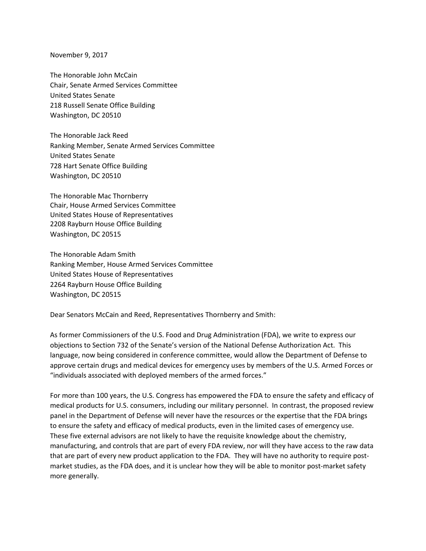November 9, 2017

The Honorable John McCain Chair, Senate Armed Services Committee United States Senate 218 Russell Senate Office Building Washington, DC 20510

The Honorable Jack Reed Ranking Member, Senate Armed Services Committee United States Senate 728 Hart Senate Office Building Washington, DC 20510

The Honorable Mac Thornberry Chair, House Armed Services Committee United States House of Representatives 2208 Rayburn House Office Building Washington, DC 20515

The Honorable Adam Smith Ranking Member, House Armed Services Committee United States House of Representatives 2264 Rayburn House Office Building Washington, DC 20515

Dear Senators McCain and Reed, Representatives Thornberry and Smith:

As former Commissioners of the U.S. Food and Drug Administration (FDA), we write to express our objections to Section 732 of the Senate's version of the National Defense Authorization Act. This language, now being considered in conference committee, would allow the Department of Defense to approve certain drugs and medical devices for emergency uses by members of the U.S. Armed Forces or "individuals associated with deployed members of the armed forces."

For more than 100 years, the U.S. Congress has empowered the FDA to ensure the safety and efficacy of medical products for U.S. consumers, including our military personnel. In contrast, the proposed review panel in the Department of Defense will never have the resources or the expertise that the FDA brings to ensure the safety and efficacy of medical products, even in the limited cases of emergency use. These five external advisors are not likely to have the requisite knowledge about the chemistry, manufacturing, and controls that are part of every FDA review, nor will they have access to the raw data that are part of every new product application to the FDA. They will have no authority to require post‐ market studies, as the FDA does, and it is unclear how they will be able to monitor post-market safety more generally.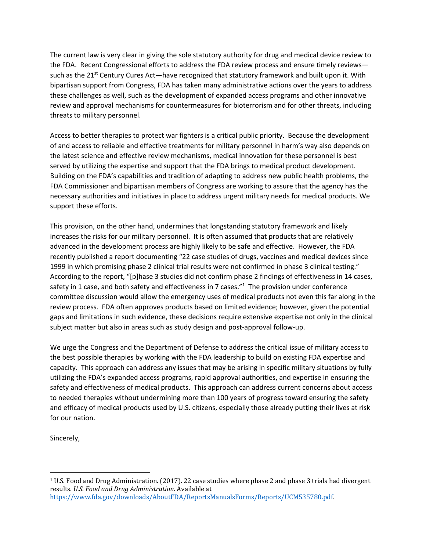The current law is very clear in giving the sole statutory authority for drug and medical device review to the FDA. Recent Congressional efforts to address the FDA review process and ensure timely reviews such as the 21<sup>st</sup> Century Cures Act—have recognized that statutory framework and built upon it. With bipartisan support from Congress, FDA has taken many administrative actions over the years to address these challenges as well, such as the development of expanded access programs and other innovative review and approval mechanisms for countermeasures for bioterrorism and for other threats, including threats to military personnel.

Access to better therapies to protect war fighters is a critical public priority. Because the development of and access to reliable and effective treatments for military personnel in harm's way also depends on the latest science and effective review mechanisms, medical innovation for these personnel is best served by utilizing the expertise and support that the FDA brings to medical product development. Building on the FDA's capabilities and tradition of adapting to address new public health problems, the FDA Commissioner and bipartisan members of Congress are working to assure that the agency has the necessary authorities and initiatives in place to address urgent military needs for medical products. We support these efforts.

This provision, on the other hand, undermines that longstanding statutory framework and likely increases the risks for our military personnel. It is often assumed that products that are relatively advanced in the development process are highly likely to be safe and effective. However, the FDA recently published a report documenting "22 case studies of drugs, vaccines and medical devices since 1999 in which promising phase 2 clinical trial results were not confirmed in phase 3 clinical testing." According to the report, "[p]hase 3 studies did not confirm phase 2 findings of effectiveness in 14 cases, safety in 1 case, and both safety and effectiveness in 7 cases."<sup>1</sup> The provision under conference committee discussion would allow the emergency uses of medical products not even this far along in the review process. FDA often approves products based on limited evidence; however, given the potential gaps and limitations in such evidence, these decisions require extensive expertise not only in the clinical subject matter but also in areas such as study design and post‐approval follow‐up.

We urge the Congress and the Department of Defense to address the critical issue of military access to the best possible therapies by working with the FDA leadership to build on existing FDA expertise and capacity. This approach can address any issues that may be arising in specific military situations by fully utilizing the FDA's expanded access programs, rapid approval authorities, and expertise in ensuring the safety and effectiveness of medical products. This approach can address current concerns about access to needed therapies without undermining more than 100 years of progress toward ensuring the safety and efficacy of medical products used by U.S. citizens, especially those already putting their lives at risk for our nation.

Sincerely,

 $1$  U.S. Food and Drug Administration. (2017). 22 case studies where phase 2 and phase 3 trials had divergent results. *U.S. Food and Drug Administration*. Available at https://www.fda.gov/downloads/AboutFDA/ReportsManualsForms/Reports/UCM535780.pdf.